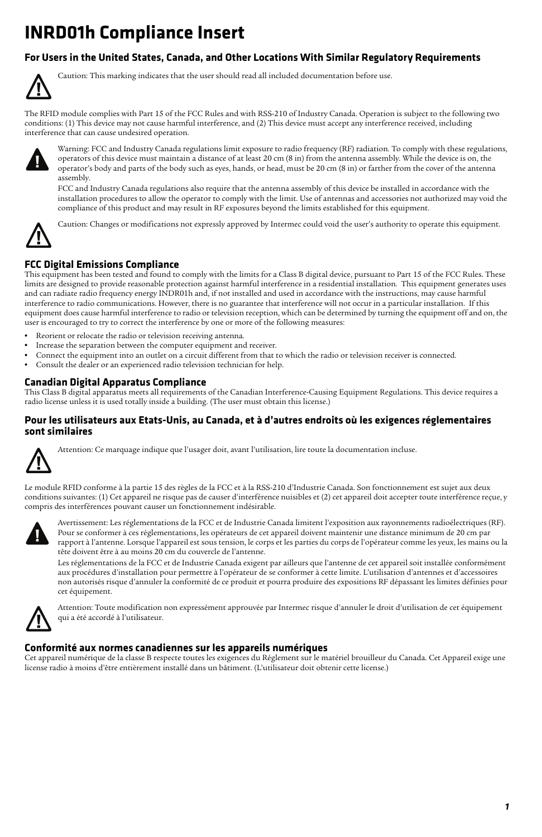# **INRD01h Compliance Insert**

### **For Users in the United States, Canada, and Other Locations With Similar Regulatory Requirements**



Caution: This marking indicates that the user should read all included documentation before use.

The RFID module complies with Part 15 of the FCC Rules and with RSS-210 of Industry Canada. Operation is subject to the following two conditions: (1) This device may not cause harmful interference, and (2) This device must accept any interference received, including interference that can cause undesired operation.



Warning: FCC and Industry Canada regulations limit exposure to radio frequency (RF) radiation. To comply with these regulations, operators of this device must maintain a distance of at least 20 cm (8 in) from the antenna assembly. While the device is on, the operator's body and parts of the body such as eyes, hands, or head, must be 20 cm (8 in) or farther from the cover of the antenna assembly.

FCC and Industry Canada regulations also require that the antenna assembly of this device be installed in accordance with the installation procedures to allow the operator to comply with the limit. Use of antennas and accessories not authorized may void the compliance of this product and may result in RF exposures beyond the limits established for this equipment.

Caution: Changes or modifications not expressly approved by Intermec could void the user's authority to operate this equipment.

### **FCC Digital Emissions Compliance**

This equipment has been tested and found to comply with the limits for a Class B digital device, pursuant to Part 15 of the FCC Rules. These limits are designed to provide reasonable protection against harmful interference in a residential installation. This equipment generates uses and can radiate radio frequency energy INDR01h and, if not installed and used in accordance with the instructions, may cause harmful interference to radio communications. However, there is no guarantee that interference will not occur in a particular installation. If this equipment does cause harmful interference to radio or television reception, which can be determined by turning the equipment off and on, the user is encouraged to try to correct the interference by one or more of the following measures:

- **•** Reorient or relocate the radio or television receiving antenna.
- **•** Increase the separation between the computer equipment and receiver.
- **•** Connect the equipment into an outlet on a circuit different from that to which the radio or television receiver is connected.
- **•** Consult the dealer or an experienced radio television technician for help.

#### **Canadian Digital Apparatus Compliance**

This Class B digital apparatus meets all requirements of the Canadian Interference-Causing Equipment Regulations. This device requires a radio license unless it is used totally inside a building. (The user must obtain this license.)

#### **Pour les utilisateurs aux Etats-Unis, au Canada, et à d'autres endroits où les exigences réglementaires sont similaires**



Attention: Ce marquage indique que l'usager doit, avant l'utilisation, lire toute la documentation incluse.

Le module RFID conforme à la partie 15 des règles de la FCC et à la RSS-210 d'Industrie Canada. Son fonctionnement est sujet aux deux conditions suivantes: (1) Cet appareil ne risque pas de causer d'interférence nuisibles et (2) cet appareil doit accepter toute interférence reçue, y compris des interférences pouvant causer un fonctionnement indésirable.



Avertissement: Les réglementations de la FCC et de Industrie Canada limitent l'exposition aux rayonnements radioélectriques (RF). Pour se conformer à ces réglementations, les opérateurs de cet appareil doivent maintenir une distance minimum de 20 cm par rapport à l'antenne. Lorsque l'appareil est sous tension, le corps et les parties du corps de l'opérateur comme les yeux, les mains ou la tête doivent être à au moins 20 cm du couvercle de l'antenne.

Les réglementations de la FCC et de Industrie Canada exigent par ailleurs que l'antenne de cet appareil soit installée conformément aux procédures d'installation pour permettre à l'opérateur de se conformer à cette limite. L'utilisation d'antennes et d'accessoires non autorisés risque d'annuler la conformité de ce produit et pourra produire des expositions RF dépassant les limites définies pour cet équipement.



Attention: Toute modification non expressément approuvée par Intermec risque d'annuler le droit d'utilisation de cet équipement qui a été accordé à l'utilisateur.

#### **Conformité aux normes canadiennes sur les appareils numériques**

Cet appareil numérique de la classe B respecte toutes les exigences du Réglement sur le matériel brouilleur du Canada. Cet Appareil exige une license radio à moins d'être entièrement installé dans un bâtiment. (L'utilisateur doit obtenir cette license.)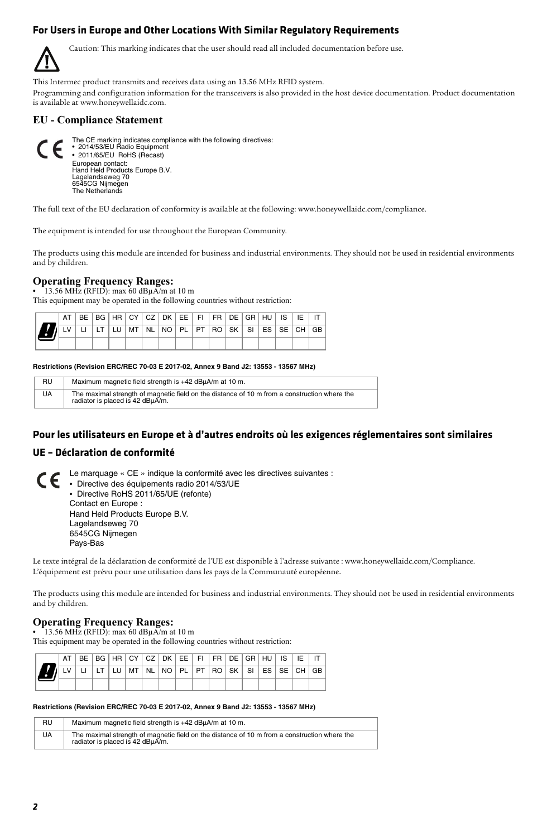### **For Users in Europe and Other Locations With Similar Regulatory Requirements**

Caution: This marking indicates that the user should read all included documentation before use.

This Intermec product transmits and receives data using an 13.56 MHz RFID system.

[Programming and configuration information for the transceivers is also provided in the host device documentation. Product documentation](http://www.honeywellaidc.com)  [is available at www.honeywellaidc.com](http://www.honeywellaidc.com).

#### **EU - Compliance Statement**



[The full text of the EU declaration of conformity is available at the following: www.honeywellaidc.com/compliance.](http://www.honeywellaidc.com/compliance)

The equipment is intended for use throughout the European Community.

The products using this module are intended for business and industrial environments. They should not be used in residential environments and by children.

#### **Operating Frequency Ranges:**

**•** 13.56 MHz (RFID): max 60 dBµA/m at 10 m

This equipment may be operated in the following countries without restriction:

|                                                       |  |  |  |  | AT BE BG HR CYCZ DK EE FIFR DE GRIHU IS IE IT |  |  |  |
|-------------------------------------------------------|--|--|--|--|-----------------------------------------------|--|--|--|
| A UNIU ILTILU INTINLINO PLIPTIRO ISKI SI ESISE CHIGBI |  |  |  |  |                                               |  |  |  |
|                                                       |  |  |  |  |                                               |  |  |  |

#### **Restrictions (Revision ERC/REC 70-03 E 2017-02, Annex 9 Band J2: 13553 - 13567 MHz)**

| RU        | Maximum magnetic field strength is +42 dBµA/m at 10 m.                                                                           |
|-----------|----------------------------------------------------------------------------------------------------------------------------------|
| <b>UA</b> | The maximal strength of magnetic field on the distance of 10 m from a construction where the<br>radiator is placed is 42 dBuA/m. |

### **Pour les utilisateurs en Europe et à d'autres endroits où les exigences réglementaires sont similaires**

### **UE – Déclaration de conformité**

Le marquage « CE » indique la conformité avec les directives suivantes :

**•** Directive des équipements radio 2014/53/UE **•** Directive RoHS 2011/65/UE (refonte) Contact en Europe : Hand Held Products Europe B.V. Lagelandseweg 70 6545CG Nijmegen Pays-Bas

[Le texte intégral de la déclaration de conformité de l'UE est disponible à l'adresse suivante : www.honeywellaidc.com/Compliance.](http://www.honeywellaidc.com/compliance) L'équipement est prévu pour une utilisation dans les pays de la Communauté européenne.

The products using this module are intended for business and industrial environments. They should not be used in residential environments and by children.

#### **Operating Frequency Ranges:**

**•** 13.56 MHz (RFID): max 60 dBµA/m at 10 m

This equipment may be operated in the following countries without restriction:

|  |  |  |  |  | AT BE BG HR CY CZ DK EE FIFR DE GR HU IS LE     |  |  |  |
|--|--|--|--|--|-------------------------------------------------|--|--|--|
|  |  |  |  |  | LV LILT LU MT NL NO PL PT ROISK SILES ISE CHIGB |  |  |  |
|  |  |  |  |  |                                                 |  |  |  |

#### **Restrictions (Revision ERC/REC 70-03 E 2017-02, Annex 9 Band J2: 13553 - 13567 MHz)**

| <b>RU</b> | Maximum magnetic field strength is +42 dBµA/m at 10 m.                                                                           |
|-----------|----------------------------------------------------------------------------------------------------------------------------------|
| <b>UA</b> | The maximal strength of magnetic field on the distance of 10 m from a construction where the<br>radiator is placed is 42 dBuA/m. |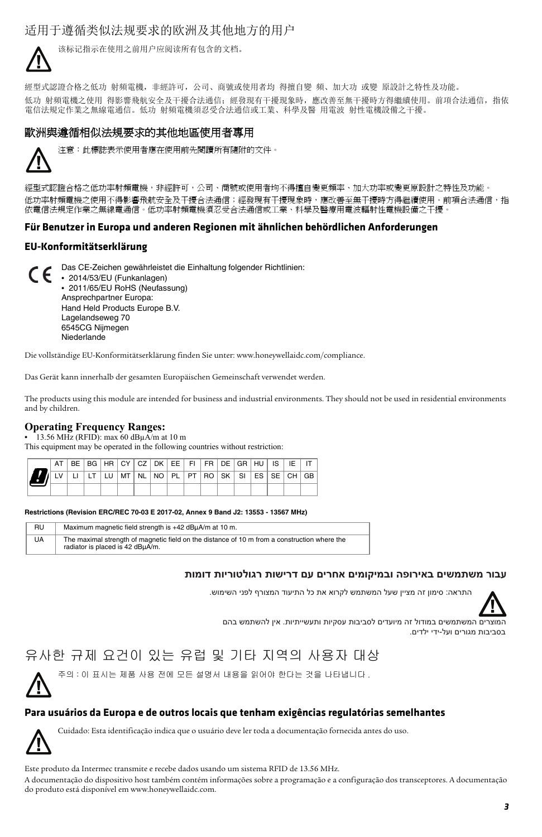适用于遵循类似法规要求的欧洲及其他地方的用户



该标记指示在使用之前用户应阅读所有包含的文档。

經型式認證合格之低功 射頻電機,非經許可,公司、商號或使用者均 得擅自變 頻、加大功 或變 原設計之特性及功能。 低功 射頻電機之使用 得影響飛航安全及干擾合法通信;經發現有干擾現象時,應改善至無干擾時方得繼續使用。前項合法通信,指依 電信法規定作業之無線電通信。低功 射頻電機須忍受合法通信或工業、科學及醫 用電波 射性電機設備之干擾。

### 歐洲與遵循相似法規要求的其他地區使用者專用



注意:此標誌表示使用者應在使用前先閱讀所有隨附的文件。

經型式認證合格之低功率射頻電機,非經許可,公司、商號或使用者均不得擅自變更頻率、加大功率或變更原設計之特性及功能。 低功率射頻電機之使用不得影響飛航安全及干擾合法通信;經發現有干擾現象時,應改善至無干擾時方得繼續使用。前項合法通信,指 依電信法規定作業之無線電通信。低功率射頻電機須忍受合法通信或工業、科學及醫療用電波輻射性電機設備之干擾。

#### **Für Benutzer in Europa und anderen Regionen mit ähnlichen behördlichen Anforderungen**

#### **EU-Konformitätserklärung**

Das CE-Zeichen gewährleistet die Einhaltung folgender Richtlinien: **•** 2014/53/EU (Funkanlagen) **•** 2011/65/EU RoHS (Neufassung) Ansprechpartner Europa: Hand Held Products Europe B.V. Lagelandseweg 70 6545CG Nijmegen Niederlande

[Die vollständige EU-Konformitätserklärung finden Sie unter: www.honeywellaidc.com/compliance.](http://www.honeywellaidc.com/compliance)

Das Gerät kann innerhalb der gesamten Europäischen Gemeinschaft verwendet werden.

The products using this module are intended for business and industrial environments. They should not be used in residential environments and by children.

### **Operating Frequency Ranges:**

**•** 13.56 MHz (RFID): max 60 dBµA/m at 10 m This equipment may be operated in the following countries without restriction:

|  |  | BE BG HR CYCZDK EE FIFR DE GRIHULIS LE   |  |  |  |  |  |  |
|--|--|------------------------------------------|--|--|--|--|--|--|
|  |  | LT LU MT NL NO PL PT ROSK SILES SE CHIGB |  |  |  |  |  |  |
|  |  |                                          |  |  |  |  |  |  |

**Restrictions (Revision ERC/REC 70-03 E 2017-02, Annex 9 Band J2: 13553 - 13567 MHz)**

| RU        | Maximum magnetic field strength is +42 dBµA/m at 10 m.                                                                           |
|-----------|----------------------------------------------------------------------------------------------------------------------------------|
| <b>UA</b> | The maximal strength of magnetic field on the distance of 10 m from a construction where the<br>radiator is placed is 42 dBuA/m. |

#### **עבור משתמשים באירופה ובמיקומים אחרים עם דרישות רגולטוריות דומות**

התראה: סימון זה מציין שעל המשתמש לקרוא את כל התיעוד המצורף לפני השימוש.



המוצרים המשתמשים במודול זה מיועדים לסביבות עסקיות ותעשייתיות. אין להשתמש בהם בסביבות מגורים ועל-ידי ילדים.

## 유사한 규제 요건이 있는 유럽 및 기타 지역의 사용자 대상

주의 : 이 표시는 제품 사용 전에 모든 설명서 내용을 읽어야 한다는 것을 나타냅니다 .

### **Para usuários da Europa e de outros locais que tenham exigências regulatórias semelhantes**

Cuidado: Esta identificação indica que o usuário deve ler toda a documentação fornecida antes do uso.

Este produto da Intermec transmite e recebe dados usando um sistema RFID de 13.56 MHz.

A documentação do dispositivo host também contém informações sobre a programação e a configuração dos transceptores. A documentação do produto está disponível em www.honeywellaidc.com.